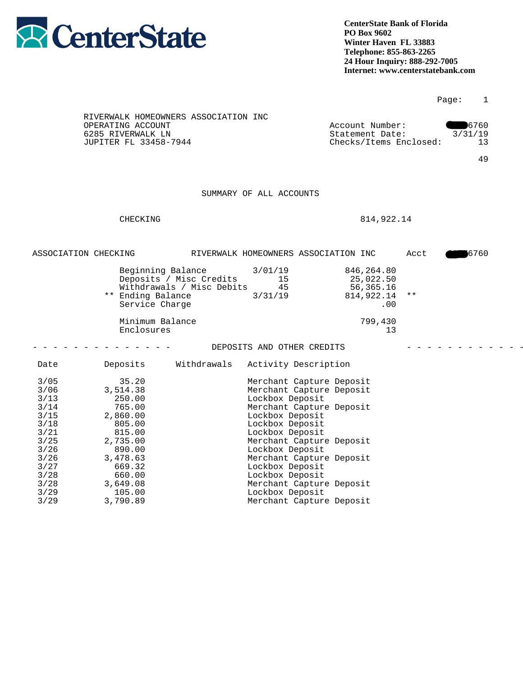

|                                                                                                                            |                                                                                                                                                               |                                                                           |                                                                                                                                                                                                                                                                                                                                                          |                                                               |      | Page:<br>1                  |  |
|----------------------------------------------------------------------------------------------------------------------------|---------------------------------------------------------------------------------------------------------------------------------------------------------------|---------------------------------------------------------------------------|----------------------------------------------------------------------------------------------------------------------------------------------------------------------------------------------------------------------------------------------------------------------------------------------------------------------------------------------------------|---------------------------------------------------------------|------|-----------------------------|--|
|                                                                                                                            | RIVERWALK HOMEOWNERS ASSOCIATION INC<br>OPERATING ACCOUNT<br>6285 RIVERWALK LN<br>JUPITER FL 33458-7944                                                       |                                                                           |                                                                                                                                                                                                                                                                                                                                                          | Account Number:<br>Statement Date:<br>Checks/Items Enclosed:  |      | 6760<br>3/31/19<br>13<br>49 |  |
|                                                                                                                            |                                                                                                                                                               |                                                                           | SUMMARY OF ALL ACCOUNTS                                                                                                                                                                                                                                                                                                                                  |                                                               |      |                             |  |
|                                                                                                                            | CHECKING                                                                                                                                                      |                                                                           |                                                                                                                                                                                                                                                                                                                                                          | 814,922.14                                                    |      |                             |  |
|                                                                                                                            | ASSOCIATION CHECKING                                                                                                                                          |                                                                           | RIVERWALK HOMEOWNERS ASSOCIATION INC                                                                                                                                                                                                                                                                                                                     |                                                               | Acct | 6760                        |  |
|                                                                                                                            | ** Ending Balance<br>Service Charge                                                                                                                           | Beginning Balance<br>Deposits / Misc Credits<br>Withdrawals / Misc Debits | 3/01/19<br>15<br>45<br>3/31/19                                                                                                                                                                                                                                                                                                                           | 846, 264.80<br>25,022.50<br>56,365.16<br>814,922.14 **<br>.00 |      |                             |  |
|                                                                                                                            | Minimum Balance<br>Enclosures                                                                                                                                 |                                                                           |                                                                                                                                                                                                                                                                                                                                                          | 799,430<br>13                                                 |      |                             |  |
|                                                                                                                            |                                                                                                                                                               |                                                                           | DEPOSITS AND OTHER CREDITS                                                                                                                                                                                                                                                                                                                               |                                                               |      |                             |  |
| Date                                                                                                                       | Deposits                                                                                                                                                      | Withdrawals                                                               | Activity Description                                                                                                                                                                                                                                                                                                                                     |                                                               |      |                             |  |
| $3/05$<br>3/06<br>3/13<br>3/14<br>$3/15$<br>3/18<br>3/21<br>$3/25$<br>3/26<br>3/26<br>3/27<br>3/28<br>3/28<br>3/29<br>3/29 | 35.20<br>3,514.38<br>250.00<br>765.00<br>2,860.00<br>805.00<br>815.00<br>2,735.00<br>890.00<br>3,478.63<br>669.32<br>660.00<br>3,649.08<br>105.00<br>3,790.89 |                                                                           | Merchant Capture Deposit<br>Merchant Capture Deposit<br>Lockbox Deposit<br>Merchant Capture Deposit<br>Lockbox Deposit<br>Lockbox Deposit<br>Lockbox Deposit<br>Merchant Capture Deposit<br>Lockbox Deposit<br>Merchant Capture Deposit<br>Lockbox Deposit<br>Lockbox Deposit<br>Merchant Capture Deposit<br>Lockbox Deposit<br>Merchant Capture Deposit |                                                               |      |                             |  |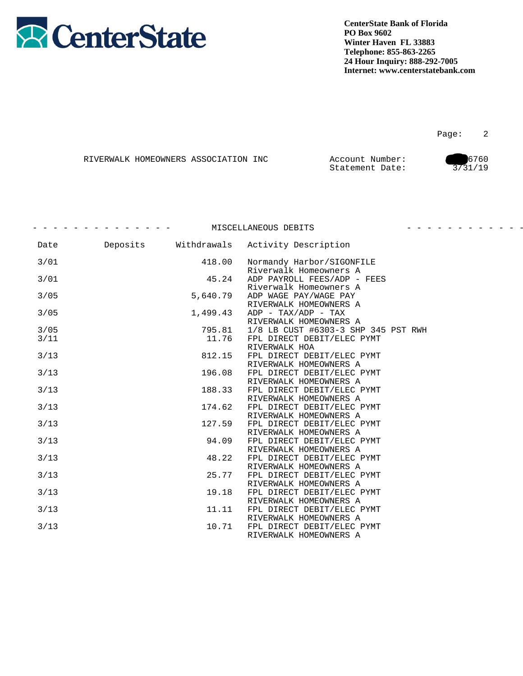

|  | RIVERWALK HOMEOWNERS ASSOCIATION INC | Account Number: | 6760    |
|--|--------------------------------------|-----------------|---------|
|  |                                      | Statement Date: | 3731/19 |

|        |          |             | MISCELLANEOUS DEBITS                                                           | <u> 2020 - 2020 - 2020 - 2020 - 20</u> |
|--------|----------|-------------|--------------------------------------------------------------------------------|----------------------------------------|
| Date   | Deposits | Withdrawals | Activity Description                                                           |                                        |
| 3/01   |          | 418.00      | Normandy Harbor/SIGONFILE<br>Riverwalk Homeowners A                            |                                        |
| 3/01   |          | 45.24       | ADP PAYROLL FEES/ADP - FEES<br>Riverwalk Homeowners A                          |                                        |
| 3/05   |          | 5,640.79    | ADP WAGE PAY/WAGE PAY<br>RIVERWALK HOMEOWNERS A                                |                                        |
| 3/05   |          | 1,499.43    | ADP - TAX/ADP - TAX<br>RIVERWALK HOMEOWNERS A                                  |                                        |
| 3/05   |          | 795.81      | 1/8 LB CUST #6303-3 SHP 345 PST RWH                                            |                                        |
| 3/11   |          | 11.76       | FPL DIRECT DEBIT/ELEC PYMT<br>RIVERWALK HOA                                    |                                        |
| $3/13$ |          | 812.15      | FPL DIRECT DEBIT/ELEC PYMT<br>RIVERWALK HOMEOWNERS A                           |                                        |
| 3/13   |          | 196.08      | FPL DIRECT DEBIT/ELEC PYMT<br>RIVERWALK HOMEOWNERS A                           |                                        |
| $3/13$ |          | 188.33      | FPL DIRECT DEBIT/ELEC PYMT<br>RIVERWALK HOMEOWNERS A                           |                                        |
| 3/13   |          | 174.62      | FPL DIRECT DEBIT/ELEC PYMT                                                     |                                        |
| $3/13$ |          | 127.59      | RIVERWALK HOMEOWNERS A<br>FPL DIRECT DEBIT/ELEC PYMT<br>RIVERWALK HOMEOWNERS A |                                        |
| $3/13$ |          | 94.09       | FPL DIRECT DEBIT/ELEC PYMT<br>RIVERWALK HOMEOWNERS A                           |                                        |
| $3/13$ |          | 48.22       | FPL DIRECT DEBIT/ELEC PYMT<br>RIVERWALK HOMEOWNERS A                           |                                        |
| $3/13$ |          | 25.77       | FPL DIRECT DEBIT/ELEC PYMT<br>RIVERWALK HOMEOWNERS A                           |                                        |
| $3/13$ |          | 19.18       | FPL DIRECT DEBIT/ELEC PYMT<br>RIVERWALK HOMEOWNERS A                           |                                        |
| $3/13$ |          | 11.11       | FPL DIRECT DEBIT/ELEC PYMT<br>RIVERWALK HOMEOWNERS A                           |                                        |
| 3/13   |          | 10.71       | FPL DIRECT DEBIT/ELEC PYMT<br>RIVERWALK HOMEOWNERS A                           |                                        |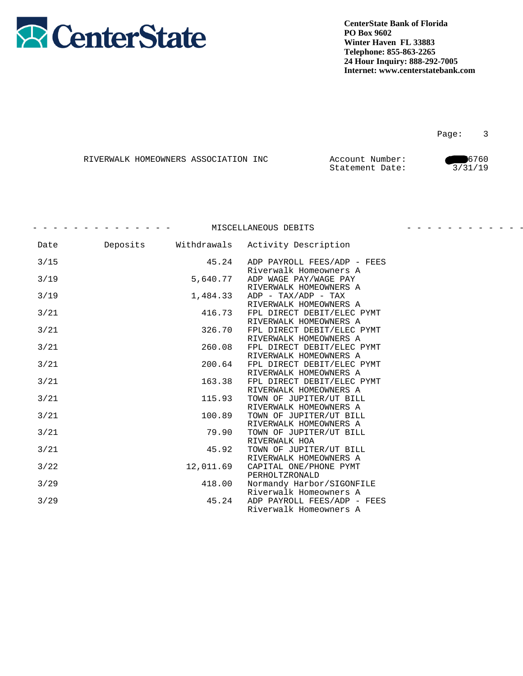

Page: 3

|  | RIVERWALK HOMEOWNERS ASSOCIATION INC | Account Number: | 6760    |
|--|--------------------------------------|-----------------|---------|
|  |                                      | Statement Date: | 3/31/19 |

|      |          |             | MISCELLANEOUS DEBITS                                  | _ _ _ _ _ _ _ _ |
|------|----------|-------------|-------------------------------------------------------|-----------------|
| Date | Deposits | Withdrawals | Activity Description                                  |                 |
| 3/15 |          | 45.24       | ADP PAYROLL FEES/ADP - FEES<br>Riverwalk Homeowners A |                 |
| 3/19 |          | 5,640.77    | ADP WAGE PAY/WAGE PAY                                 |                 |
| 3/19 |          | 1,484.33    | RIVERWALK HOMEOWNERS A<br>$ADP - TAX/ADP - TAX$       |                 |
| 3/21 |          | 416.73      | RIVERWALK HOMEOWNERS A<br>FPL DIRECT DEBIT/ELEC PYMT  |                 |
| 3/21 |          | 326.70      | RIVERWALK HOMEOWNERS A<br>FPL DIRECT DEBIT/ELEC PYMT  |                 |
| 3/21 |          | 260.08      | RIVERWALK HOMEOWNERS A<br>FPL DIRECT DEBIT/ELEC PYMT  |                 |
| 3/21 |          | 200.64      | RIVERWALK HOMEOWNERS A<br>FPL DIRECT DEBIT/ELEC PYMT  |                 |
| 3/21 |          | 163.38      | RIVERWALK HOMEOWNERS A<br>FPL DIRECT DEBIT/ELEC PYMT  |                 |
| 3/21 |          | 115.93      | RIVERWALK HOMEOWNERS A<br>TOWN OF JUPITER/UT BILL     |                 |
| 3/21 |          | 100.89      | RIVERWALK HOMEOWNERS A<br>TOWN OF JUPITER/UT BILL     |                 |
| 3/21 |          | 79.90       | RIVERWALK HOMEOWNERS A<br>TOWN OF JUPITER/UT BILL     |                 |
| 3/21 |          | 45.92       | RIVERWALK HOA<br>TOWN OF JUPITER/UT BILL              |                 |
| 3/22 |          | 12,011.69   | RIVERWALK HOMEOWNERS A<br>CAPITAL ONE/PHONE PYMT      |                 |
|      |          |             | PERHOLTZRONALD                                        |                 |
| 3/29 |          | 418.00      | Normandy Harbor/SIGONFILE<br>Riverwalk Homeowners A   |                 |
| 3/29 |          | 45.24       | ADP PAYROLL FEES/ADP - FEES<br>Riverwalk Homeowners A |                 |